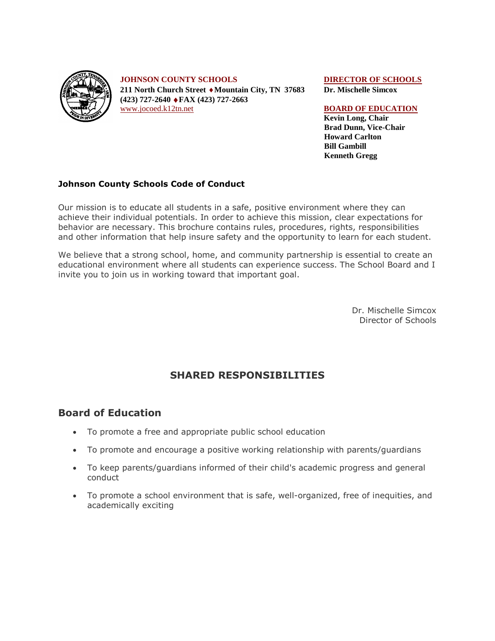

**JOHNSON COUNTY SCHOOLS DIRECTOR OF SCHOOLS 211 North Church Street Mountain City, TN 37683 Dr. Mischelle Simcox (423) 727-2640 FAX (423) 727-2663** [www.jocoed.k12tn.net](http://www.jocoed.k12tn.net/) **BOARD OF EDUCATION** 

**Kevin Long, Chair Brad Dunn, Vice-Chair Howard Carlton Bill Gambill Kenneth Gregg**

#### **Johnson County Schools Code of Conduct**

Our mission is to educate all students in a safe, positive environment where they can achieve their individual potentials. In order to achieve this mission, clear expectations for behavior are necessary. This brochure contains rules, procedures, rights, responsibilities and other information that help insure safety and the opportunity to learn for each student.

We believe that a strong school, home, and community partnership is essential to create an educational environment where all students can experience success. The School Board and I invite you to join us in working toward that important goal.

> Dr. Mischelle Simcox Director of Schools

## **SHARED RESPONSIBILITIES**

#### **Board of Education**

- To promote a free and appropriate public school education
- To promote and encourage a positive working relationship with parents/guardians
- To keep parents/guardians informed of their child's academic progress and general conduct
- To promote a school environment that is safe, well-organized, free of inequities, and academically exciting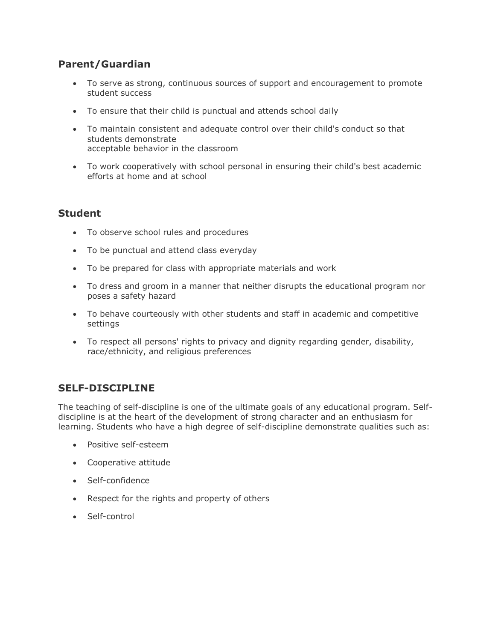## **Parent/Guardian**

- To serve as strong, continuous sources of support and encouragement to promote student success
- To ensure that their child is punctual and attends school daily
- To maintain consistent and adequate control over their child's conduct so that students demonstrate acceptable behavior in the classroom
- To work cooperatively with school personal in ensuring their child's best academic efforts at home and at school

# **Student**

- To observe school rules and procedures
- To be punctual and attend class everyday
- To be prepared for class with appropriate materials and work
- To dress and groom in a manner that neither disrupts the educational program nor poses a safety hazard
- To behave courteously with other students and staff in academic and competitive settings
- To respect all persons' rights to privacy and dignity regarding gender, disability, race/ethnicity, and religious preferences

## **SELF-DISCIPLINE**

The teaching of self-discipline is one of the ultimate goals of any educational program. Selfdiscipline is at the heart of the development of strong character and an enthusiasm for learning. Students who have a high degree of self-discipline demonstrate qualities such as:

- Positive self-esteem
- Cooperative attitude
- Self-confidence
- Respect for the rights and property of others
- Self-control